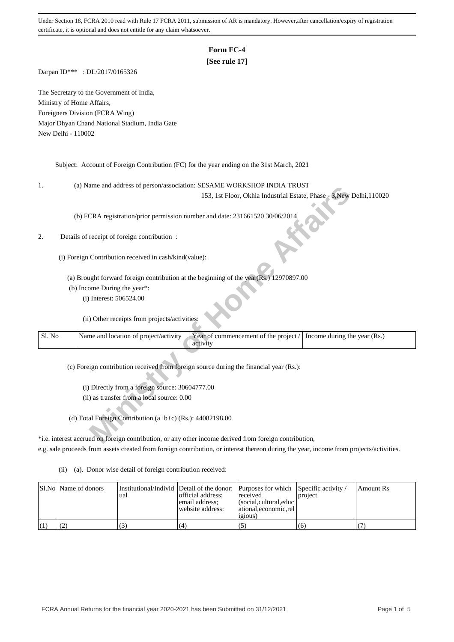## **Form FC-4**

## **[See rule 17]**

Darpan ID\*\*\* : DL/2017/0165326

The Secretary to the Government of India, Ministry of Home Affairs, Foreigners Division (FCRA Wing) Major Dhyan Chand National Stadium, India Gate New Delhi - 110002

Subject: Account of Foreign Contribution (FC) for the year ending on the 31st March, 2021

1. (a) Name and address of person/association: SESAME WORKSHOP INDIA TRUST

### 2. Details of receipt of foreign contribution :

| ı.     | (a) IValue and address of person/association. SESAIVIE WONNSHOT INDIA TROST                                                |
|--------|----------------------------------------------------------------------------------------------------------------------------|
|        | 153, 1st Floor, Okhla Industrial Estate, Phase - 3, New Delhi, 110020                                                      |
|        | (b) FCRA registration/prior permission number and date: 231661520 30/06/2014                                               |
| 2.     | Details of receipt of foreign contribution :                                                                               |
|        | (i) Foreign Contribution received in cash/kind(value):                                                                     |
|        | (a) Brought forward foreign contribution at the beginning of the year(Rs.) 12970897.00                                     |
|        | (b) Income During the year*:                                                                                               |
|        | (i) Interest: 506524.00                                                                                                    |
|        | (ii) Other receipts from projects/activities:                                                                              |
| Sl. No | Name and location of project/activity<br>Year of commencement of the project /<br>Income during the year (Rs.)<br>activity |
|        | (c) Foreign contribution received from foreign source during the financial year (Rs.):                                     |
|        |                                                                                                                            |
|        | (i) Directly from a foreign source: 30604777.00                                                                            |
|        | (ii) as transfer from a local source: 0.00                                                                                 |
|        | (d) Total Foreign Contribution (a+b+c) (Rs.): 44082198.00                                                                  |
|        | *i.e. interest accrued on foreign contribution, or any other income derived from foreign contribution,                     |

\*i.e. interest accrued on foreign contribution, or any other income derived from foreign contribution, e.g. sale proceeds from assets created from foreign contribution, or interest thereon during the year, income from projects/activities.

(ii) (a). Donor wise detail of foreign contribution received:

|  | Sl.No   Name of donors | ual | Institutional/Individ Detail of the donor: Purposes for which Specific activity /<br>official address:<br>email address:<br>website address: | received<br>$\vert$ (social,cultural,educ $\vert$<br>  ational.economic.rel<br>1910US | project | l Amount Rs |
|--|------------------------|-----|----------------------------------------------------------------------------------------------------------------------------------------------|---------------------------------------------------------------------------------------|---------|-------------|
|  |                        |     | (4)                                                                                                                                          |                                                                                       | (6)     |             |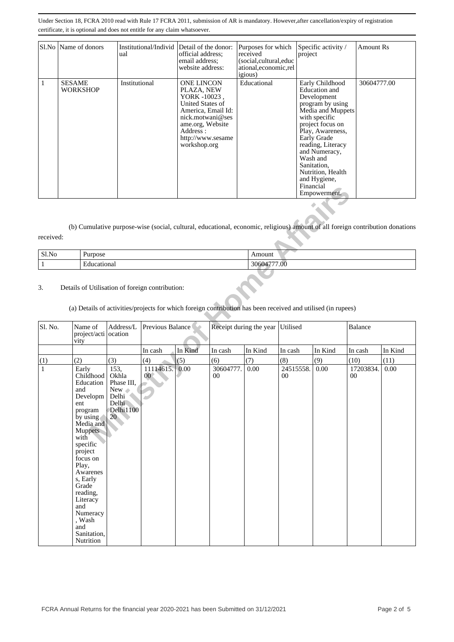| Sl.No   Name of donors           | Institutional/Individ Detail of the donor:<br>ual | official address:<br>email address:<br>website address:                                                                                                                                    | Purposes for which<br>received<br>(social, cultural, educ<br>ational, economic, rel<br><i>igious</i> ) | Specific activity /<br>project                                                                                                                                                                                                                                                                      | <b>Amount Rs</b> |
|----------------------------------|---------------------------------------------------|--------------------------------------------------------------------------------------------------------------------------------------------------------------------------------------------|--------------------------------------------------------------------------------------------------------|-----------------------------------------------------------------------------------------------------------------------------------------------------------------------------------------------------------------------------------------------------------------------------------------------------|------------------|
| <b>SESAME</b><br><b>WORKSHOP</b> | Institutional                                     | <b>ONE LINCON</b><br>PLAZA, NEW<br>YORK -10023,<br><b>United States of</b><br>America, Email Id:<br>nick.motwani@ses<br>ame.org, Website<br>Address :<br>http://www.sesame<br>workshop.org | Educational                                                                                            | Early Childhood<br>Education and<br>Development<br>program by using<br>Media and Muppets<br>with specific<br>project focus on<br>Play, Awareness,<br>Early Grade<br>reading, Literacy<br>and Numeracy,<br>Wash and<br>Sanitation,<br>Nutrition, Health<br>and Hygiene,<br>Financial<br>Empowerment. | 30604777.00      |

| Sl.No | <b>Purpose</b> | Amount                     |
|-------|----------------|----------------------------|
|       | ducational     | 7.00<br>. н.<br>◡<br>,,,,, |

# 3. Details of Utilisation of foreign contribution:

# (a) Details of activities/projects for which foreign contribution has been received and utilised (in rupees)

|              |                                                                                                                                                                                                                                                                                                                     |                                                                                      |                              |         |                     |                         |                     | <b>Financial</b><br>Empowerment.                                                                                              |                     |         |
|--------------|---------------------------------------------------------------------------------------------------------------------------------------------------------------------------------------------------------------------------------------------------------------------------------------------------------------------|--------------------------------------------------------------------------------------|------------------------------|---------|---------------------|-------------------------|---------------------|-------------------------------------------------------------------------------------------------------------------------------|---------------------|---------|
| received:    |                                                                                                                                                                                                                                                                                                                     |                                                                                      |                              |         |                     |                         |                     | (b) Cumulative purpose-wise (social, cultural, educational, economic, religious) amount of all foreign contribution donations |                     |         |
|              |                                                                                                                                                                                                                                                                                                                     |                                                                                      |                              |         |                     |                         |                     |                                                                                                                               |                     |         |
| Sl.No        | Purpose                                                                                                                                                                                                                                                                                                             |                                                                                      |                              |         |                     | Amount                  |                     |                                                                                                                               |                     |         |
| $\,1$        | Educational                                                                                                                                                                                                                                                                                                         |                                                                                      |                              |         |                     | 30604777.00             |                     |                                                                                                                               |                     |         |
| 3.           | Details of Utilisation of foreign contribution:                                                                                                                                                                                                                                                                     |                                                                                      |                              |         |                     |                         |                     | (a) Details of activities/projects for which foreign contribution has been received and utilised (in rupees)                  |                     |         |
| Sl. No.      | Name of<br>project/acti ocation<br>vity                                                                                                                                                                                                                                                                             | Address/L                                                                            | Previous Balance             |         |                     | Receipt during the year | Utilised            |                                                                                                                               | <b>Balance</b>      |         |
|              |                                                                                                                                                                                                                                                                                                                     |                                                                                      | In cash                      | In Kind | In cash             | In Kind                 | In cash             | In Kind                                                                                                                       | In cash             | In Kind |
| (1)          | (2)                                                                                                                                                                                                                                                                                                                 | (3)                                                                                  | (4)                          | (5)     | (6)                 | (7)                     | (8)                 | (9)                                                                                                                           | (10)                | (11)    |
| $\mathbf{1}$ | Early<br>Childhood<br>Education<br>and<br>Developm<br>ent<br>program<br>$\overline{b}y$ using<br>Media and<br>Muppets<br>with<br>specific<br>project<br>focus on<br>Play,<br>Awarenes<br>s, Early<br>Grade<br>reading,<br>Literacy<br>and<br>Numeracy<br>, $\operatorname{Wash}$<br>and<br>Sanitation,<br>Nutrition | 153,<br>Okhla<br>Phase III,<br>New<br>Delhi<br>Delhi<br>Delhi1100<br>20 <sub>2</sub> | 11114615.<br>00 <sup>°</sup> | 0.00    | 30604777.<br>$00\,$ | 0.00                    | 24515558.<br>$00\,$ | 0.00                                                                                                                          | 17203834.<br>$00\,$ | 0.00    |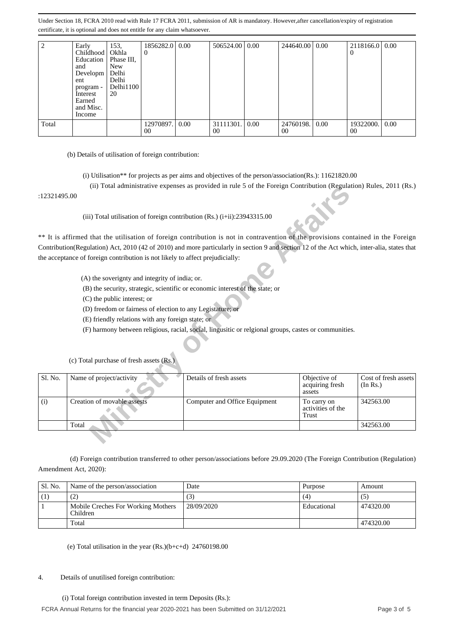| $\overline{c}$ | Early<br>Childhood<br>Education<br>and<br>Developm<br>ent<br>program -<br>Interest<br>Earned<br>and Misc.<br>Income                                                                                                                                                                                                                                                                                                                                                  | 153,<br>Okhla<br>Phase III,<br><b>New</b><br>Delhi<br>Delhi<br>Delhi1100<br>20 | 1856282.0<br>0                                                                                                                                                    | 0.00       | 506524.00                                                                                                                                                                                                                                                                                                                                                                                                                                                                                              | 0.00 | 244640.00       | 0.00                             | 2118166.0<br>0  | 0.00                 |
|----------------|----------------------------------------------------------------------------------------------------------------------------------------------------------------------------------------------------------------------------------------------------------------------------------------------------------------------------------------------------------------------------------------------------------------------------------------------------------------------|--------------------------------------------------------------------------------|-------------------------------------------------------------------------------------------------------------------------------------------------------------------|------------|--------------------------------------------------------------------------------------------------------------------------------------------------------------------------------------------------------------------------------------------------------------------------------------------------------------------------------------------------------------------------------------------------------------------------------------------------------------------------------------------------------|------|-----------------|----------------------------------|-----------------|----------------------|
| Total          |                                                                                                                                                                                                                                                                                                                                                                                                                                                                      |                                                                                | 12970897.<br>00                                                                                                                                                   | 0.00       | 31111301.<br>00                                                                                                                                                                                                                                                                                                                                                                                                                                                                                        | 0.00 | 24760198.<br>00 | 0.00                             | 19322000.<br>00 | 0.00                 |
| :12321495.00   | (b) Details of utilisation of foreign contribution:<br>** It is affirmed that the utilisation of foreign contribution is not in contravention of the provisions contained in the Foreign<br>Contribution(Regulation) Act, 2010 (42 of 2010) and more particularly in section 9 and section 12 of the Act which, inter-alia, states that<br>the acceptance of foreign contribution is not likely to affect prejudicially:<br>(c) Total purchase of fresh assets (Rs.) | (C) the public interest; or                                                    | (A) the soverignty and integrity of india; or.<br>(D) freedom or fairness of election to any Legistature; or<br>(E) friendly relations with any foreign state; or |            | (i) Utilisation** for projects as per aims and objectives of the person/association(Rs.): 11621820.00<br>(ii) Total administrative expenses as provided in rule 5 of the Foreign Contribution (Regulation) Rules, 2011 (Rs.)<br>(iii) Total utilisation of foreign contribution (Rs.) $(i+ii)$ : 23943315.00<br>(B) the security, strategic, scientific or economic interest of the state; or<br>(F) harmony between religious, racial, social, lingusitic or relgional groups, castes or communities. |      |                 |                                  |                 |                      |
| Sl. No.        | Name of project/activity                                                                                                                                                                                                                                                                                                                                                                                                                                             |                                                                                |                                                                                                                                                                   |            | Details of fresh assets                                                                                                                                                                                                                                                                                                                                                                                                                                                                                |      | assets          | Objective of<br>acquiring fresh  | (In Rs.)        | Cost of fresh assets |
| (i)            | Creation of movable assests                                                                                                                                                                                                                                                                                                                                                                                                                                          |                                                                                |                                                                                                                                                                   |            | Computer and Office Equipment                                                                                                                                                                                                                                                                                                                                                                                                                                                                          |      | Trust           | To carry on<br>activities of the | 342563.00       |                      |
|                | Total                                                                                                                                                                                                                                                                                                                                                                                                                                                                |                                                                                |                                                                                                                                                                   |            |                                                                                                                                                                                                                                                                                                                                                                                                                                                                                                        |      |                 |                                  | 342563.00       |                      |
|                | (d) Foreign contribution transferred to other person/associations before 29.09.2020 (The Foreign Contribution (Regulation)<br>Amendment Act, 2020):                                                                                                                                                                                                                                                                                                                  |                                                                                |                                                                                                                                                                   |            |                                                                                                                                                                                                                                                                                                                                                                                                                                                                                                        |      |                 |                                  |                 |                      |
| Sl. No.        | Name of the person/association                                                                                                                                                                                                                                                                                                                                                                                                                                       |                                                                                |                                                                                                                                                                   | Date       |                                                                                                                                                                                                                                                                                                                                                                                                                                                                                                        |      |                 | Purpose                          | Amount          |                      |
| (1)            | (2)                                                                                                                                                                                                                                                                                                                                                                                                                                                                  |                                                                                |                                                                                                                                                                   | (3)        |                                                                                                                                                                                                                                                                                                                                                                                                                                                                                                        |      | (4)             |                                  | (5)             |                      |
| $\mathbf{1}$   | Mobile Creches For Working Mothers<br>Children                                                                                                                                                                                                                                                                                                                                                                                                                       |                                                                                |                                                                                                                                                                   | 28/09/2020 |                                                                                                                                                                                                                                                                                                                                                                                                                                                                                                        |      |                 | Educational                      | 474320.00       |                      |
|                | Total                                                                                                                                                                                                                                                                                                                                                                                                                                                                |                                                                                |                                                                                                                                                                   |            |                                                                                                                                                                                                                                                                                                                                                                                                                                                                                                        |      |                 |                                  | 474320.00       |                      |
| 4.             | (e) Total utilisation in the year $(Rs.)(b+c+d)$ 24760198.00<br>Details of unutilised foreign contribution:<br>(i) Total foreign contribution invested in term Deposits (Rs.):                                                                                                                                                                                                                                                                                       |                                                                                |                                                                                                                                                                   |            |                                                                                                                                                                                                                                                                                                                                                                                                                                                                                                        |      |                 |                                  |                 |                      |

- (i) Utilisation\*\* for projects as per aims and objectives of the person/association(Rs.): 11621820.00
- (ii) Total administrative expenses as provided in rule 5 of the Foreign Contribution (Regulation) Rules, 2011 (Rs.)

- (A) the soverignty and integrity of india; or.
- (B) the security, strategic, scientific or economic interest of the state; or
- (C) the public interest; or
- (D) freedom or fairness of election to any Legistature; or
- (E) friendly relations with any foreign state; or
- (F) harmony between religious, racial, social, lingusitic or relgional groups, castes or communities.

|              |                                                                               | (ii) Total administrative expenses as provided in rule 5 of the Foreign Contribution (Regulation) Rules, 2011 (RS.)                         |                                           |                                  |
|--------------|-------------------------------------------------------------------------------|---------------------------------------------------------------------------------------------------------------------------------------------|-------------------------------------------|----------------------------------|
| :12321495.00 |                                                                               |                                                                                                                                             |                                           |                                  |
|              |                                                                               | (iii) Total utilisation of foreign contribution $(Rs.)$ (i+ii):23943315.00                                                                  |                                           |                                  |
|              |                                                                               | ** It is affirmed that the utilisation of foreign contribution is not in contravention of the provisions contained in the Foreign           |                                           |                                  |
|              |                                                                               | Contribution(Regulation) Act, 2010 (42 of 2010) and more particularly in section 9 and section 12 of the Act which, inter-alia, states that |                                           |                                  |
|              | the acceptance of foreign contribution is not likely to affect prejudicially: |                                                                                                                                             |                                           |                                  |
|              |                                                                               |                                                                                                                                             |                                           |                                  |
|              | (A) the soverignty and integrity of india; or.                                |                                                                                                                                             |                                           |                                  |
|              |                                                                               | (B) the security, strategic, scientific or economic interest of the state; or                                                               |                                           |                                  |
|              | (C) the public interest; or                                                   |                                                                                                                                             |                                           |                                  |
|              |                                                                               |                                                                                                                                             |                                           |                                  |
|              | (D) freedom or fairness of election to any Legistature; or                    |                                                                                                                                             |                                           |                                  |
|              | (E) friendly relations with any foreign state; or                             |                                                                                                                                             |                                           |                                  |
|              |                                                                               | (F) harmony between religious, racial, social, lingusitic or relgional groups, castes or communities.                                       |                                           |                                  |
|              |                                                                               |                                                                                                                                             |                                           |                                  |
|              | (c) Total purchase of fresh assets (Rs.)                                      |                                                                                                                                             |                                           |                                  |
| Sl. No.      | Name of project/activity                                                      | Details of fresh assets                                                                                                                     | Objective of<br>acquiring fresh<br>assets | Cost of fresh assets<br>(In Rs.) |
| (i)          | Creation of movable assests                                                   | Computer and Office Equipment                                                                                                               | To carry on<br>activities of the<br>Trust | 342563.00                        |
|              | Total                                                                         |                                                                                                                                             |                                           | 342563.00                        |
|              |                                                                               |                                                                                                                                             |                                           |                                  |

(c) Total purchase of fresh assets (Rs.)

| Sl. No. | Name of the person/association                 | Date       | Purpose     | Amount    |
|---------|------------------------------------------------|------------|-------------|-----------|
| (1)     | (2)                                            | (3)        | (4)         | C)        |
|         | Mobile Creches For Working Mothers<br>Children | 28/09/2020 | Educational | 474320.00 |
|         | Total                                          |            |             | 474320.00 |

#### 4. Details of unutilised foreign contribution: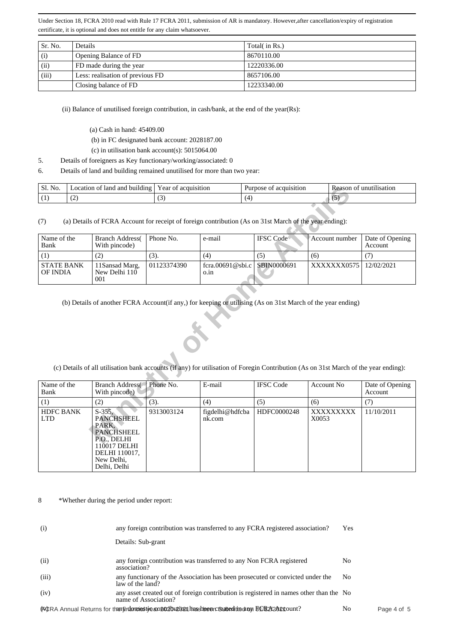| Sr. No. | Details                          | Total( in Rs.) |
|---------|----------------------------------|----------------|
| (i)     | Opening Balance of FD            | 8670110.00     |
| (ii)    | FD made during the year          | 12220336.00    |
| (iii)   | Less: realisation of previous FD | 8657106.00     |
|         | Closing balance of FD            | 12233340.00    |

(ii) Balance of unutilised foreign contribution, in cash/bank, at the end of the year(Rs):

- (a) Cash in hand: 45409.00
- (b) in FC designated bank account: 2028187.00
- (c) in utilisation bank account(s): 5015064.00
- 5. Details of foreigners as Key functionary/working/associated: 0
- 6. Details of land and building remained unutilised for more than two year:

| No.<br>. C 1<br>- 21. | <br>. lanc<br>ocation<br>. and<br>. building | ear<br>acquisition<br>'ΩT      | acquisition<br>Purpose<br>. OT | unu<br>lisation<br>Reason<br>า1 |
|-----------------------|----------------------------------------------|--------------------------------|--------------------------------|---------------------------------|
| . .<br>$\mathbf{1}$   | $\sqrt{2}$<br>╰                              | $\sim$<br>$\ddot{\phantom{0}}$ | $\Delta$                       |                                 |
|                       |                                              |                                |                                |                                 |

| Name of the<br>Bank           | <b>Branch Address</b><br>With pincode)  | Phone No.   | e-mail                                 | <b>IFSC</b> Code | Account number | Date of Opening<br>Account |
|-------------------------------|-----------------------------------------|-------------|----------------------------------------|------------------|----------------|----------------------------|
|                               | (2)                                     | (3).        | (4)                                    | (၁)              | (6)            |                            |
| <b>STATE BANK</b><br>OF INDIA | 11 Sansad Marg,<br>New Delhi 110<br>001 | 01123374390 | fcra.00691@sbi.c   SBIN0000691<br>0.1n |                  | XXXXXXX0575    | 12/02/2021                 |

| Sl. No.<br>Location of land and building   Year of acquisition |                                                                                                                                                                                                                                                     |             |                           | Purpose of acquisition |                    | Reason of unutilisation    |  |  |  |  |  |
|----------------------------------------------------------------|-----------------------------------------------------------------------------------------------------------------------------------------------------------------------------------------------------------------------------------------------------|-------------|---------------------------|------------------------|--------------------|----------------------------|--|--|--|--|--|
| (1)<br>(2)                                                     |                                                                                                                                                                                                                                                     | (3)         | (4)                       |                        | (5)                |                            |  |  |  |  |  |
| (7)                                                            | (a) Details of FCRA Account for receipt of foreign contribution (As on 31st March of the year ending):                                                                                                                                              |             |                           |                        |                    |                            |  |  |  |  |  |
| Name of the<br>Bank                                            | <b>Branch Address</b><br>With pincode)                                                                                                                                                                                                              | Phone No.   | e-mail                    | <b>IFSC</b> Code       | Account number     | Date of Opening<br>Account |  |  |  |  |  |
| (1)                                                            | (2)                                                                                                                                                                                                                                                 | (3).        | (4)                       | (5)                    | (6)                | (7)                        |  |  |  |  |  |
| <b>STATE BANK</b><br>OF INDIA                                  | 11Sansad Marg,<br>New Delhi 110<br>001                                                                                                                                                                                                              | 01123374390 | fcra.00691@sbi.c<br>o.in  | SBIN0000691            | XXXXXXX0575        | 12/02/2021                 |  |  |  |  |  |
|                                                                | (b) Details of another FCRA Account(if any,) for keeping or utilising (As on 31st March of the year ending)<br>(c) Details of all utilisation bank accounts (if any) for utilisation of Foregin Contribution (As on 31st March of the year ending): |             |                           |                        |                    |                            |  |  |  |  |  |
| Name of the<br>Bank                                            | <b>Branch Address</b><br>With pincode)                                                                                                                                                                                                              | Phone No.   | E-mail                    | <b>IFSC Code</b>       | <b>Account No</b>  | Date of Opening<br>Account |  |  |  |  |  |
| (1)                                                            | (2)                                                                                                                                                                                                                                                 | (3).        | (4)                       | (5)                    | (6)                | (7)                        |  |  |  |  |  |
| <b>HDFC BANK</b><br><b>LTD</b>                                 | $S-355$ ,<br><b>PANCHSHEEL</b><br>PARK.<br><b>PANCHSHEEL</b><br>P.O., DELHI<br>110017 DELHI<br>DELHI 110017,<br>New Delhi,<br>Delhi, Delhi                                                                                                          | 9313003124  | figdelhi@hdfcba<br>nk.com | HDFC0000248            | XXXXXXXXX<br>X0053 | 11/10/2011                 |  |  |  |  |  |

8 \*Whether during the period under report:

| (i)   | any foreign contribution was transferred to any FCRA registered association?                                   | Yes |             |
|-------|----------------------------------------------------------------------------------------------------------------|-----|-------------|
|       | Details: Sub-grant                                                                                             |     |             |
| (ii)  | any foreign contribution was transferred to any Non FCRA registered<br>association?                            | No  |             |
| (iii) | any functionary of the Association has been prosecuted or convicted under the<br>law of the land?              | No  |             |
| (iv)  | any asset created out of foreign contribution is registered in names other than the No<br>name of Association? |     |             |
|       | (FORA Annual Returns for then indentical type conduction has been clear to the only BORA2A24 count?            | No  | Page 4 of 5 |